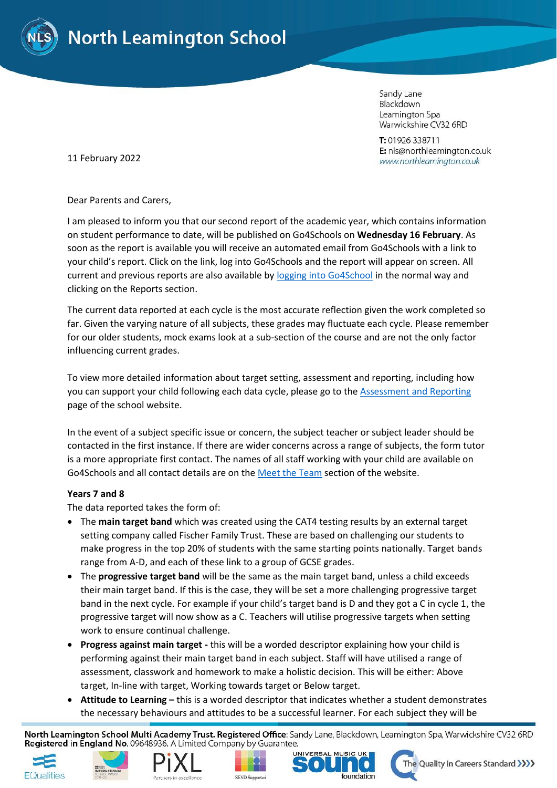

Sandy Lane Blackdown Leamington Spa Warwickshire CV32 6RD

T: 01926 338711 E: nls@northleamington.co.uk www.northleamington.co.uk

11 February 2022

Dear Parents and Carers,

I am pleased to inform you that our second report of the academic year, which contains information on student performance to date, will be published on Go4Schools on **Wednesday 16 February**. As soon as the report is available you will receive an automated email from Go4Schools with a link to your child's report. Click on the link, log into Go4Schools and the report will appear on screen. All current and previous reports are also available by logging [into Go4School](https://www.northleamington.co.uk/learn/go-4-schools-g4s) in the normal way and clicking on the Reports section.

The current data reported at each cycle is the most accurate reflection given the work completed so far. Given the varying nature of all subjects, these grades may fluctuate each cycle. Please remember for our older students, mock exams look at a sub-section of the course and are not the only factor influencing current grades.

To view more detailed information about target setting, assessment and reporting, including how you can support your child following each data cycle, please go to the [Assessment and Reporting](https://www.northleamington.co.uk/learn/assessments) page of the school website.

In the event of a subject specific issue or concern, the subject teacher or subject leader should be contacted in the first instance. If there are wider concerns across a range of subjects, the form tutor is a more appropriate first contact. The names of all staff working with your child are available on Go4Schools and all contact details are on th[e Meet the Team](https://www.northleamington.co.uk/aboutus/meet-the-team) section of the website.

## **Years 7 and 8**

The data reported takes the form of:

- The **main target band** which was created using the CAT4 testing results by an external target setting company called Fischer Family Trust. These are based on challenging our students to make progress in the top 20% of students with the same starting points nationally. Target bands range from A-D, and each of these link to a group of GCSE grades.
- The **progressive target band** will be the same as the main target band, unless a child exceeds their main target band. If this is the case, they will be set a more challenging progressive target band in the next cycle. For example if your child's target band is D and they got a C in cycle 1, the progressive target will now show as a C. Teachers will utilise progressive targets when setting work to ensure continual challenge.
- **Progress against main target -** this will be a worded descriptor explaining how your child is performing against their main target band in each subject. Staff will have utilised a range of assessment, classwork and homework to make a holistic decision. This will be either: Above target, In-line with target, Working towards target or Below target.
- **Attitude to Learning –** this is a worded descriptor that indicates whether a student demonstrates the necessary behaviours and attitudes to be a successful learner. For each subject they will be

North Leamington School Multi Academy Trust. Registered Office: Sandy Lane, Blackdown, Leamington Spa, Warwickshire CV32 6RD Registered in England No. 09648936. A Limited Company by Guarantee.











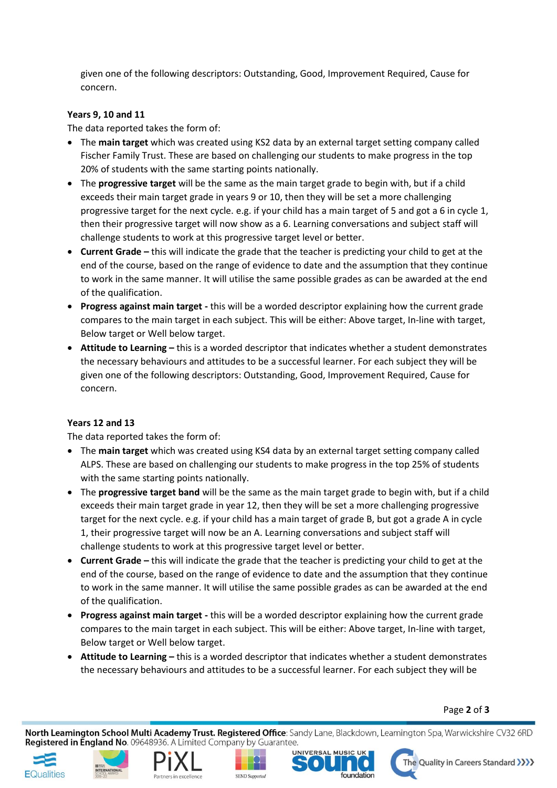given one of the following descriptors: Outstanding, Good, Improvement Required, Cause for concern.

## **Years 9, 10 and 11**

The data reported takes the form of:

- The **main target** which was created using KS2 data by an external target setting company called Fischer Family Trust. These are based on challenging our students to make progress in the top 20% of students with the same starting points nationally.
- The **progressive target** will be the same as the main target grade to begin with, but if a child exceeds their main target grade in years 9 or 10, then they will be set a more challenging progressive target for the next cycle. e.g. if your child has a main target of 5 and got a 6 in cycle 1, then their progressive target will now show as a 6. Learning conversations and subject staff will challenge students to work at this progressive target level or better.
- **Current Grade –** this will indicate the grade that the teacher is predicting your child to get at the end of the course, based on the range of evidence to date and the assumption that they continue to work in the same manner. It will utilise the same possible grades as can be awarded at the end of the qualification.
- **Progress against main target -** this will be a worded descriptor explaining how the current grade compares to the main target in each subject. This will be either: Above target, In-line with target, Below target or Well below target.
- **Attitude to Learning –** this is a worded descriptor that indicates whether a student demonstrates the necessary behaviours and attitudes to be a successful learner. For each subject they will be given one of the following descriptors: Outstanding, Good, Improvement Required, Cause for concern.

## **Years 12 and 13**

The data reported takes the form of:

- The **main target** which was created using KS4 data by an external target setting company called ALPS. These are based on challenging our students to make progress in the top 25% of students with the same starting points nationally.
- The **progressive target band** will be the same as the main target grade to begin with, but if a child exceeds their main target grade in year 12, then they will be set a more challenging progressive target for the next cycle. e.g. if your child has a main target of grade B, but got a grade A in cycle 1, their progressive target will now be an A. Learning conversations and subject staff will challenge students to work at this progressive target level or better.
- **Current Grade –** this will indicate the grade that the teacher is predicting your child to get at the end of the course, based on the range of evidence to date and the assumption that they continue to work in the same manner. It will utilise the same possible grades as can be awarded at the end of the qualification.
- **Progress against main target -** this will be a worded descriptor explaining how the current grade compares to the main target in each subject. This will be either: Above target, In-line with target, Below target or Well below target.
- **Attitude to Learning –** this is a worded descriptor that indicates whether a student demonstrates the necessary behaviours and attitudes to be a successful learner. For each subject they will be

Page **2** of **3**

North Leamington School Multi Academy Trust. Registered Office: Sandy Lane, Blackdown, Leamington Spa, Warwickshire CV32 6RD Registered in England No. 09648936. A Limited Company by Guarantee.